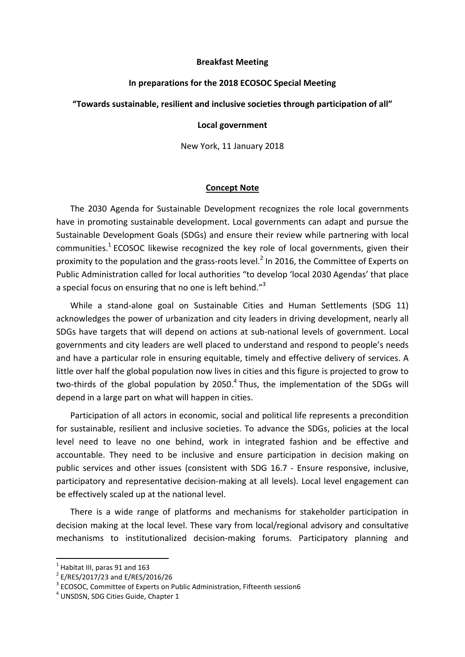### **Breakfast Meeting**

## **In preparations for the 2018 ECOSOC Special Meeting**

## **"Towards sustainable, resilient and inclusive societies through participation of all"**

# **Local government**

New York, 11 January 2018

#### **Concept Note**

The 2030 Agenda for Sustainable Development recognizes the role local governments have in promoting sustainable development. Local governments can adapt and pursue the Sustainable Development Goals (SDGs) and ensure their review while partnering with local communities.<sup>1</sup> ECOSOC likewise recognized the key role of local governments, given their proximity to the population and the grass-roots level.<sup>2</sup> In 2016, the Committee of Experts on Public Administration called for local authorities "to develop 'local 2030 Agendas' that place a special focus on ensuring that no one is left behind."<sup>3</sup>

While a stand-alone goal on Sustainable Cities and Human Settlements (SDG 11) acknowledges the power of urbanization and city leaders in driving development, nearly all SDGs have targets that will depend on actions at sub-national levels of government. Local governments and city leaders are well placed to understand and respond to people's needs and have a particular role in ensuring equitable, timely and effective delivery of services. A little over half the global population now lives in cities and this figure is projected to grow to two-thirds of the global population by 2050.<sup>4</sup> Thus, the implementation of the SDGs will depend in a large part on what will happen in cities.

Participation of all actors in economic, social and political life represents a precondition for sustainable, resilient and inclusive societies. To advance the SDGs, policies at the local level need to leave no one behind, work in integrated fashion and be effective and accountable. They need to be inclusive and ensure participation in decision making on public services and other issues (consistent with SDG 16.7 - Ensure responsive, inclusive, participatory and representative decision-making at all levels). Local level engagement can be effectively scaled up at the national level.

There is a wide range of platforms and mechanisms for stakeholder participation in decision making at the local level. These vary from local/regional advisory and consultative mechanisms to institutionalized decision-making forums. Participatory planning and

 $\overline{a}$ 

 $<sup>1</sup>$  Habitat III, paras 91 and 163</sup>

 $2$  E/RES/2017/23 and E/RES/2016/26

<sup>&</sup>lt;sup>3</sup> ECOSOC, Committee of Experts on Public Administration, Fifteenth session6

<sup>&</sup>lt;sup>4</sup> UNSDSN, SDG Cities Guide, Chapter 1